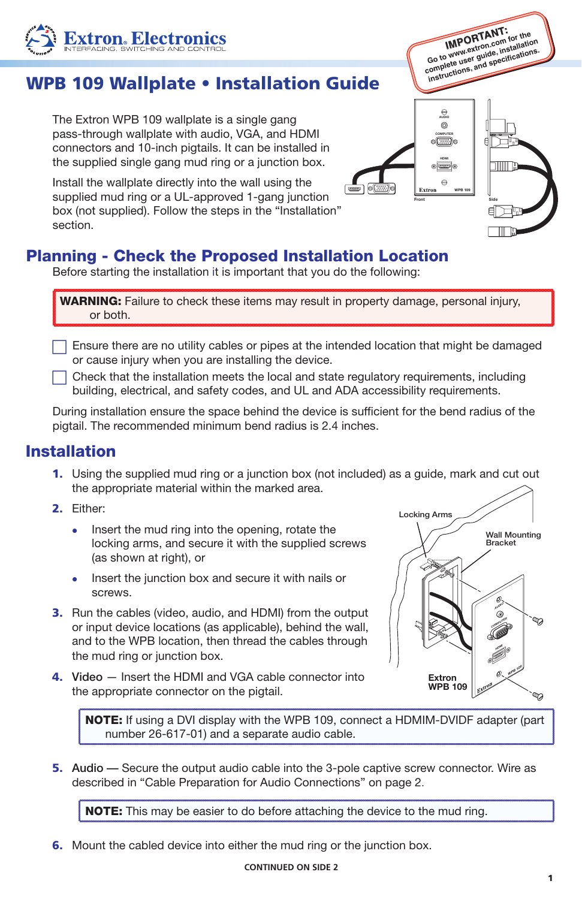## WPB 109 Wallplate • Installation Guide

The Extron WPB 109 wallplate is a single gang pass-through wallplate with audio, VGA, and HDMI connectors and 10-inch pigtails. It can be installed in the supplied single gang mud ring or a junction box.

Install the wallplate directly into the wall using the supplied mud ring or a UL-approved 1-gang junction box (not supplied). Follow the steps in the "Installation" section.

## Planning - Check the Proposed Installation Location

Before starting the installation it is important that you do the following:

WARNING: Failure to check these items may result in property damage, personal injury, or both.

 $\Box$  Ensure there are no utility cables or pipes at the intended location that might be damaged or cause injury when you are installing the device.

c Check that the installation meets the local and state regulatory requirements, including building, electrical, and safety codes, and UL and ADA accessibility requirements.

During installation ensure the space behind the device is sufficient for the bend radius of the pigtail. The recommended minimum bend radius is 2.4 inches.

## Installation

- 1. Using the supplied mud ring or a junction box (not included) as a guide, mark and cut out the appropriate material within the marked area.
- 2. Either:
	- Insert the mud ring into the opening, rotate the locking arms, and secure it with the supplied screws (as shown at right), or
	- Insert the junction box and secure it with nails or **SCRAWS**
- 3. Run the cables (video, audio, and HDMI) from the output or input device locations (as applicable), behind the wall, and to the WPB location, then thread the cables through the mud ring or junction box.
- 4. Video Insert the HDMI and VGA cable connector into the appropriate connector on the pigtail.

NOTE: If using a DVI display with the WPB 109, connect a HDMIM-DVIDF adapter (part number 26-617-01) and a separate audio cable.

5. Audio **—** Secure the output audio cable into the 3-pole captive screw connector. Wire as described in "Cable Preparation for Audio Connections" on page 2.

**NOTE:** This may be easier to do before attaching the device to the mud ring.

**6.** Mount the cabled device into either the mud ring or the junction box.







**IMPORTANT: Go to www.extron.com for the**  complete user guide, installation complete user guide, installation **installations, and specifications**.

> COMPUTER AUDIO